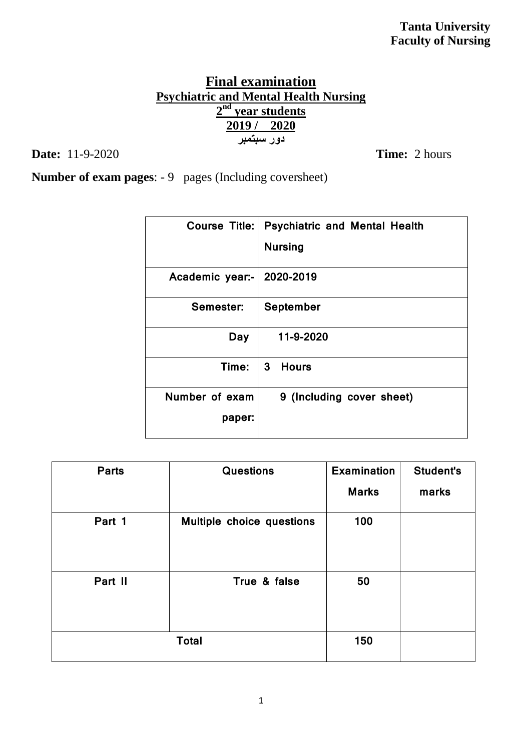# **Final examination Psychiatric and Mental Health Nursing 2 nd year students 2019 / 2020 دور سبتمبر**

**Date:** 11-9-2020 **Time:** 2 hours

**Number of exam pages**: - 9 pages (Including coversheet)

| Course Title:   | <b>Psychiatric and Mental Health</b><br><b>Nursing</b> |
|-----------------|--------------------------------------------------------|
| Academic year:- | 2020-2019                                              |
| Semester:       | September                                              |
| Day             | 11-9-2020                                              |
| Time:           | $\mathbf{3}$<br><b>Hours</b>                           |
| Number of exam  | 9 (Including cover sheet)                              |
| paper:          |                                                        |

| <b>Parts</b> | <b>Questions</b>          | <b>Examination</b> | <b>Student's</b> |
|--------------|---------------------------|--------------------|------------------|
|              |                           | <b>Marks</b>       | marks            |
| Part 1       | Multiple choice questions | 100                |                  |
| Part II      | True & false              | 50                 |                  |
|              | <b>Total</b>              | 150                |                  |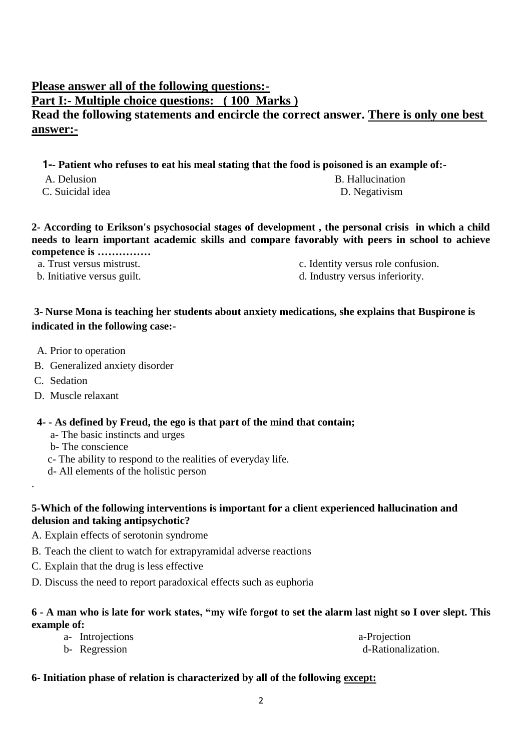## **Please answer all of the following questions:- Part I:- Multiple choice questions: ( 100 Marks ) Read the following statements and encircle the correct answer. There is only one best answer:-**

 **1-- Patient who refuses to eat his meal stating that the food is poisoned is an example of:-**

- A. Delusion B. Hallucination
- C. Suicidal idea D. Negativism

**2- According to Erikson's psychosocial stages of development , the personal crisis in which a child needs to learn important academic skills and compare favorably with peers in school to achieve competence is ……………** 

- 
- 
- a. Trust versus mistrust. c. Identity versus role confusion.
- b. Initiative versus guilt.  $\qquad \qquad d.$  Industry versus inferiority.

## **3- Nurse Mona is teaching her students about anxiety medications, she explains that Buspirone is indicated in the following case:-**

- A. Prior to operation
- B. Generalized anxiety disorder
- C. Sedation

.

D. Muscle relaxant

#### **4- - As defined by Freud, the ego is that part of the mind that contain;**

- a- The basic instincts and urges
- b- The conscience
- c- The ability to respond to the realities of everyday life.
- d- All elements of the holistic person

#### **5-Which of the following interventions is important for a client experienced hallucination and delusion and taking antipsychotic?**

- A. Explain effects of serotonin syndrome
- B. Teach the client to watch for extrapyramidal adverse reactions
- C. Explain that the drug is less effective
- D. Discuss the need to report paradoxical effects such as euphoria

#### **6 - A man who is late for work states, "my wife forgot to set the alarm last night so I over slept. This example of:**

| a- Introjections | a-Projection       |
|------------------|--------------------|
| b- Regression    | d-Rationalization. |

#### **6- Initiation phase of relation is characterized by all of the following except:**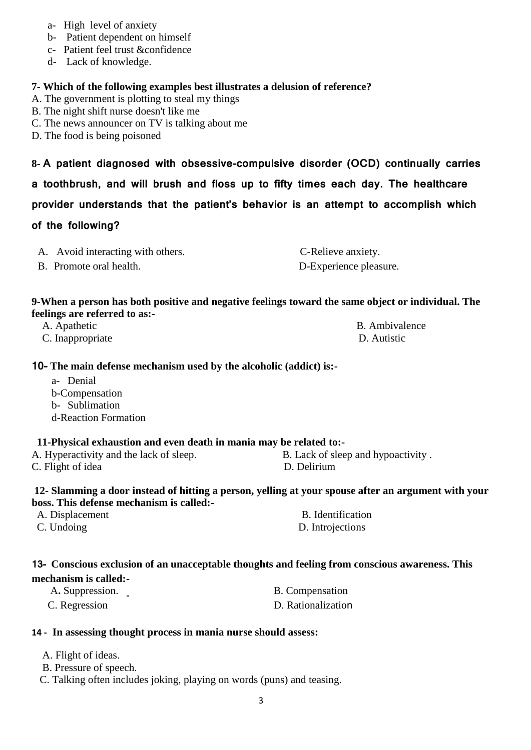- a- High level of anxiety
- b- Patient dependent on himself
- c- Patient feel trust &confidence
- d- Lack of knowledge.

#### **7- Which of the following examples best illustrates a delusion of reference?**

- A. The government is plotting to steal my things
- B. The night shift nurse doesn't like me

#### C. The news announcer on TV is talking about me

D. The food is being poisoned

**8- A patient diagnosed with obsessive-compulsive disorder (OCD) continually carries** 

**a toothbrush, and will brush and floss up to fifty times each day. The healthcare** 

#### **provider understands that the patient's behavior is an attempt to accomplish which**

#### **of the following?**

| A. Avoid interacting with others. | C-Relieve anxiety.     |
|-----------------------------------|------------------------|
| B. Promote oral health.           | D-Experience pleasure. |

#### **9-When a person has both positive and negative feelings toward the same object or individual. The feelings are referred to as:-**

| A. Apathetic     | B. Ambivalence |
|------------------|----------------|
| C. Inappropriate | D. Autistic    |

#### **10- The main defense mechanism used by the alcoholic (addict) is:-**

a- Denial b-Compensation b- Sublimation d-Reaction Formation

#### **11-Physical exhaustion and even death in mania may be related to:-**

C. Flight of idea D. Delirium

A. Hyperactivity and the lack of sleep. B. Lack of sleep and hypoactivity.

#### **12- Slamming a door instead of hitting a person, yelling at your spouse after an argument with your boss. This defense mechanism is called:-**

| A. Displacement | B. Identification |
|-----------------|-------------------|
| C. Undoing      | D. Introjections  |

#### **13- Conscious exclusion of an unacceptable thoughts and feeling from conscious awareness. This mechanism is called:-**

| A. Suppression. | B. Compensation    |
|-----------------|--------------------|
| C. Regression   | D. Rationalization |

#### **14 - In assessing thought process in mania nurse should assess:**

- A. Flight of ideas.
- B. Pressure of speech.
- C. Talking often includes joking, playing on words (puns) and teasing.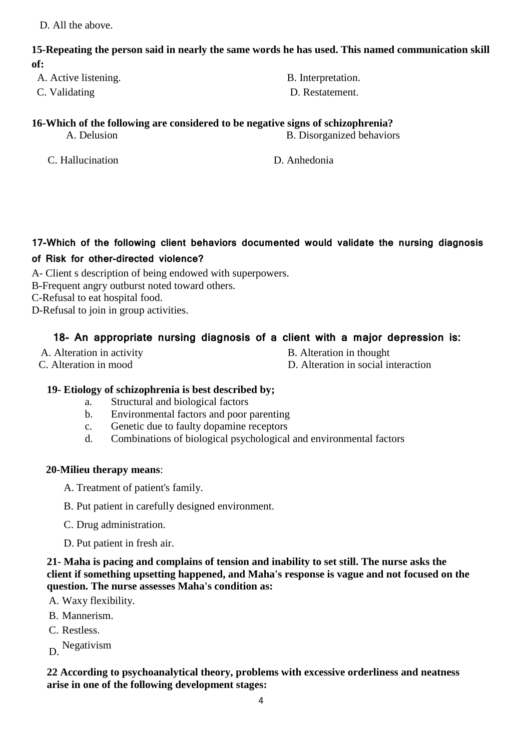D. All the above.

#### **15-Repeating the person said in nearly the same words he has used. This named communication skill of:**

- A. Active listening.  $\qquad \qquad \qquad$  B. Interpretation.
- C. Validating D. Restatement.

#### **16-Which of the following are considered to be negative signs of schizophrenia?** A. Delusion B. Disorganized behaviors

C. Hallucination D. Anhedonia

## **17-Which of the following client behaviors documented would validate the nursing diagnosis**

#### **of Risk for other-directed violence?**

A- Client s description of being endowed with superpowers.

- B-Frequent angry outburst noted toward others.
- C-Refusal to eat hospital food.
- D-Refusal to join in group activities.

## **18- An appropriate nursing diagnosis of a client with a major depression is:**

- 
- A. Alteration in activity and the B. Alteration in thought
- 

C. Alteration in mood D. Alteration in social interaction

## **19- Etiology of schizophrenia is best described by;**

- a. Structural and biological factors
- b. Environmental factors and poor parenting
- c. Genetic due to faulty dopamine receptors
- d. Combinations of biological psychological and environmental factors

#### **20-Milieu therapy means**:

- A. Treatment of patient's family.
- B. Put patient in carefully designed environment.
- C. Drug administration.
- D. Put patient in fresh air.

**21- Maha is pacing and complains of tension and inability to set still. The nurse asks the client if something upsetting happened, and Maha's response is vague and not focused on the question. The nurse assesses Maha's condition as:**

- A. Waxy flexibility.
- B. Mannerism.
- C. Restless.
- D. Negativism

**22 According to psychoanalytical theory, problems with excessive orderliness and neatness arise in one of the following development stages:**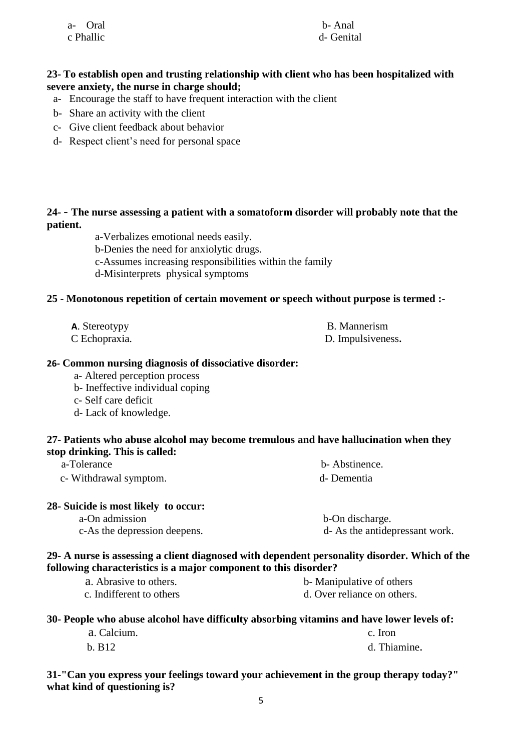| a- Oral   | b-Anal    |
|-----------|-----------|
| c Phallic | d- Genita |

d- Genital

#### **23- To establish open and trusting relationship with client who has been hospitalized with severe anxiety, the nurse in charge should;**

- a- Encourage the staff to have frequent interaction with the client
- b- Share an activity with the client
- c- Give client feedback about behavior
- d- Respect client's need for personal space

#### **24-** - **The nurse assessing a patient with a somatoform disorder will probably note that the patient.**

a-Verbalizes emotional needs easily.

b-Denies the need for anxiolytic drugs.

- c-Assumes increasing responsibilities within the family
- d-Misinterprets physical symptoms

#### **25 - Monotonous repetition of certain movement or speech without purpose is termed :-**

**A**. Stereotypy **B.** Mannerism

C Echopraxia. D. Impulsiveness**.**

#### **26- Common nursing diagnosis of dissociative disorder:**

- a- Altered perception process
- b- Ineffective individual coping
- c- Self care deficit
- d- Lack of knowledge.

#### **27- Patients who abuse alcohol may become tremulous and have hallucination when they stop drinking. This is called:**

| .<br>.<br>a-Tolerance  | b- Abstinence. |
|------------------------|----------------|
| c- Withdrawal symptom. | d-Dementia     |

#### **28- Suicide is most likely to occur:**

a-On admission b-On discharge. c-As the depression deepens. d- As the antidepressant work.

#### **29- A nurse is assessing a client diagnosed with dependent personality disorder. Which of the following characteristics is a major component to this disorder?**

| a. Abrasive to others.   | b- Manipulative of others   |
|--------------------------|-----------------------------|
| c. Indifferent to others | d. Over reliance on others. |

#### **30- People who abuse alcohol have difficulty absorbing vitamins and have lower levels of:**

| a. Calcium. | c. Iron      |
|-------------|--------------|
| b. B12      | d. Thiamine. |

**31-"Can you express your feelings toward your achievement in the group therapy today?" what kind of questioning is?**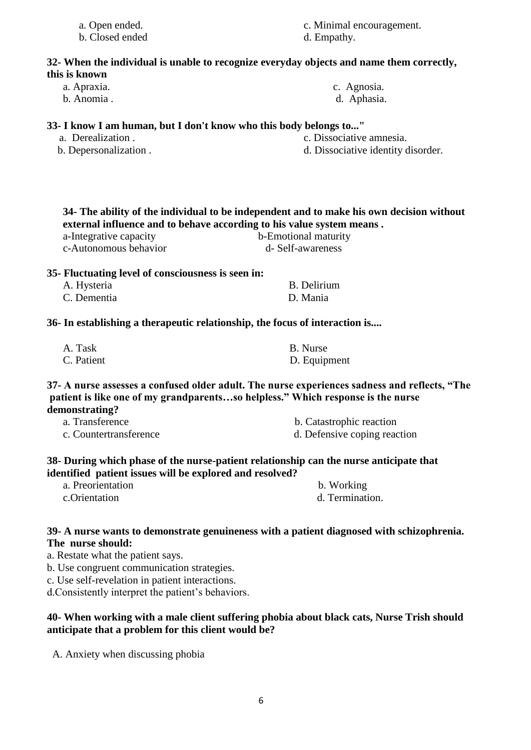| a. Open ended.<br>b. Closed ended                                           | c. Minimal encouragement.<br>d. Empathy.                                                                                                                                         |
|-----------------------------------------------------------------------------|----------------------------------------------------------------------------------------------------------------------------------------------------------------------------------|
|                                                                             | 32- When the individual is unable to recognize everyday objects and name them correctly,                                                                                         |
| this is known                                                               |                                                                                                                                                                                  |
| a. Apraxia.                                                                 | c. Agnosia.                                                                                                                                                                      |
| b. Anomia.                                                                  | d. Aphasia.                                                                                                                                                                      |
| 33- I know I am human, but I don't know who this body belongs to"           |                                                                                                                                                                                  |
| a. Derealization.                                                           | c. Dissociative amnesia.                                                                                                                                                         |
| b. Depersonalization.                                                       | d. Dissociative identity disorder.                                                                                                                                               |
|                                                                             | 34- The ability of the individual to be independent and to make his own decision without                                                                                         |
|                                                                             | external influence and to behave according to his value system means.                                                                                                            |
| a-Integrative capacity                                                      | b-Emotional maturity                                                                                                                                                             |
| c-Autonomous behavior                                                       | d- Self-awareness                                                                                                                                                                |
|                                                                             |                                                                                                                                                                                  |
| 35- Fluctuating level of consciousness is seen in:                          |                                                                                                                                                                                  |
| A. Hysteria                                                                 | <b>B.</b> Delirium                                                                                                                                                               |
| C. Dementia                                                                 | D. Mania                                                                                                                                                                         |
| 36- In establishing a therapeutic relationship, the focus of interaction is |                                                                                                                                                                                  |
| A. Task                                                                     | <b>B.</b> Nurse                                                                                                                                                                  |
| C. Patient                                                                  | D. Equipment                                                                                                                                                                     |
| demonstrating?                                                              | 37- A nurse assesses a confused older adult. The nurse experiences sadness and reflects, "The<br>patient is like one of my grandparentsso helpless." Which response is the nurse |
| a. Transference                                                             | b. Catastrophic reaction                                                                                                                                                         |
| c. Countertransference                                                      | d. Defensive coping reaction                                                                                                                                                     |
| identified patient issues will be explored and resolved?                    | 38- During which phase of the nurse-patient relationship can the nurse anticipate that                                                                                           |
| a. Preorientation                                                           | b. Working                                                                                                                                                                       |
| c.Orientation                                                               | d. Termination.                                                                                                                                                                  |
|                                                                             | 39- A nurse wants to demonstrate genuineness with a patient diagnosed with schizophrenia.                                                                                        |

## **The nurse should:**

a. Restate what the patient says.

b. Use congruent communication strategies.

c. Use self-revelation in patient interactions.

d.Consistently interpret the patient's behaviors.

#### **40- When working with a male client suffering phobia about black cats, Nurse Trish should anticipate that a problem for this client would be?**

A. Anxiety when discussing phobia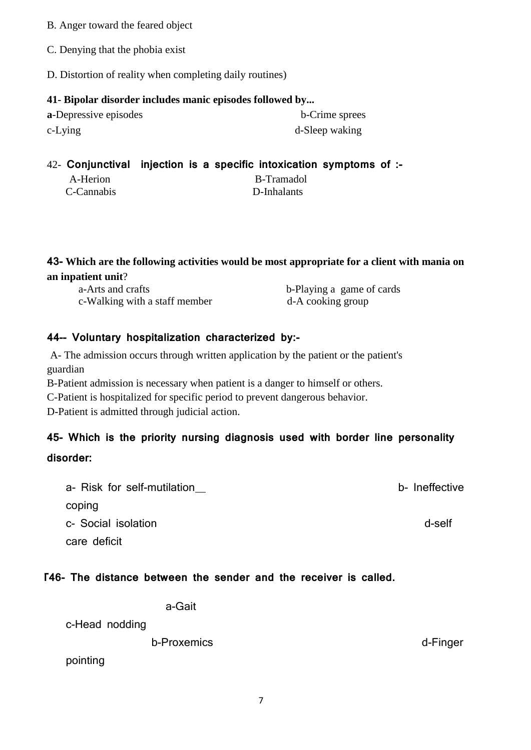- B. Anger toward the feared object
- C. Denying that the phobia exist
- D. Distortion of reality when completing daily routines)

#### **41- Bipolar disorder includes manic episodes followed by...**

| a-Depressive episodes |  |
|-----------------------|--|
| c-Lying               |  |

**b**-Crime sprees d-Sleep waking

## 42- **Conjunctival injection is a specific intoxication symptoms of :-**

| A-Herion   | B-Tramadol  |
|------------|-------------|
| C-Cannabis | D-Inhalants |

**43- Which are the following activities would be most appropriate for a client with mania on an inpatient unit**?

| a-Arts and crafts             | b-Playing a game of cards |
|-------------------------------|---------------------------|
| c-Walking with a staff member | d-A cooking group         |

## **44-- Voluntary hospitalization characterized by:-**

A- The admission occurs through written application by the patient or the patient's guardian

B-Patient admission is necessary when patient is a danger to himself or others.

C-Patient is hospitalized for specific period to prevent dangerous behavior.

D-Patient is admitted through judicial action.

# **45- Which is the priority nursing diagnosis used with border line personality disorder:**

# a- Risk for self-mutilation b- Ineffective coping c- Social isolation description description of the contract of the contract of the contract of the contract of the contract of the contract of the contract of the contract of the contract of the contract of the contract of care deficit

## 46- **T46- The distance between the sender and the receiver is called.**

a-Gait

c-Head nodding

b-Proxemics d-Finger

pointing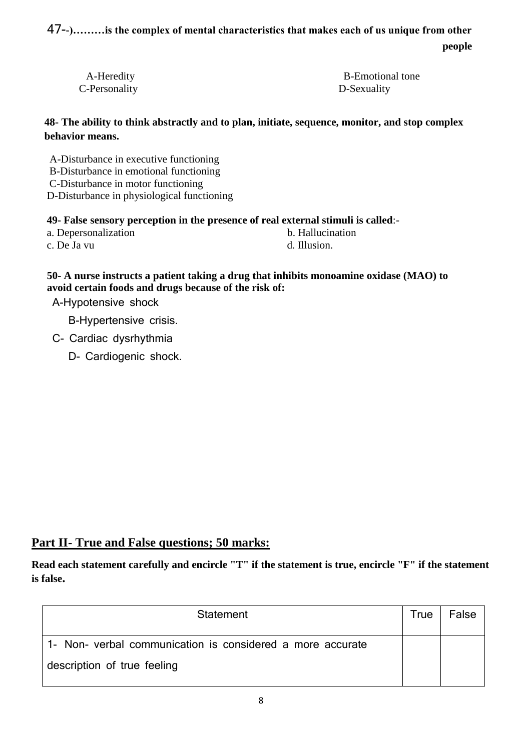47-**-)………is the complex of mental characteristics that makes each of us unique from other people** 

C-Personality D-Sexuality

A-Heredity B-Emotional tone

**48- The ability to think abstractly and to plan, initiate, sequence, monitor, and stop complex behavior means.**

A-Disturbance in executive functioning B-Disturbance in emotional functioning C-Disturbance in motor functioning D-Disturbance in physiological functioning

#### **49- False sensory perception in the presence of real external stimuli is called**:-

a. Depersonalization b. Hallucination

c. De Ja vu d. Illusion.

#### **50- A nurse instructs a patient taking a drug that inhibits monoamine oxidase (MAO) to avoid certain foods and drugs because of the risk of:**

A-Hypotensive shock

B-Hypertensive crisis.

- C- Cardiac dysrhythmia
	- D- Cardiogenic shock.

## **Part II- True and False questions; 50 marks:**

**Read each statement carefully and encircle "T" if the statement is true, encircle "F" if the statement is false.**

| Statement                                                  | True | False |
|------------------------------------------------------------|------|-------|
| 1- Non- verbal communication is considered a more accurate |      |       |
| description of true feeling                                |      |       |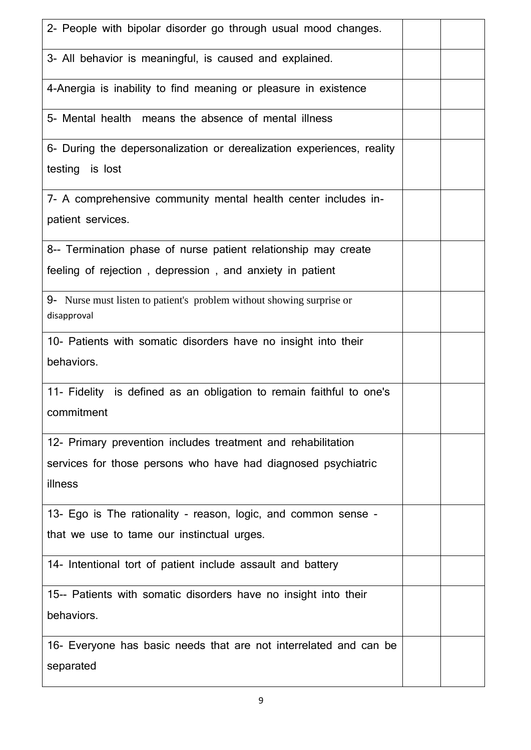| 2- People with bipolar disorder go through usual mood changes.                                                                           |  |
|------------------------------------------------------------------------------------------------------------------------------------------|--|
| 3- All behavior is meaningful, is caused and explained.                                                                                  |  |
| 4-Anergia is inability to find meaning or pleasure in existence                                                                          |  |
| 5- Mental health means the absence of mental illness                                                                                     |  |
| 6- During the depersonalization or derealization experiences, reality<br>testing is lost                                                 |  |
| 7- A comprehensive community mental health center includes in-<br>patient services.                                                      |  |
| 8-- Termination phase of nurse patient relationship may create<br>feeling of rejection, depression, and anxiety in patient               |  |
| 9- Nurse must listen to patient's problem without showing surprise or<br>disapproval                                                     |  |
| 10- Patients with somatic disorders have no insight into their<br>behaviors.                                                             |  |
| 11- Fidelity is defined as an obligation to remain faithful to one's<br>commitment                                                       |  |
| 12- Primary prevention includes treatment and rehabilitation<br>services for those persons who have had diagnosed psychiatric<br>illness |  |
| 13- Ego is The rationality - reason, logic, and common sense -<br>that we use to tame our instinctual urges.                             |  |
| 14- Intentional tort of patient include assault and battery                                                                              |  |
| 15-- Patients with somatic disorders have no insight into their<br>behaviors.                                                            |  |
|                                                                                                                                          |  |